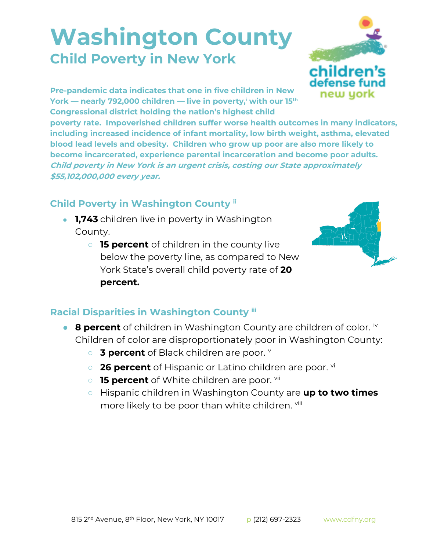## **Washington County Child Poverty in New York**



**Pre-pandemic data indicates that one in five children in New York — nearly 792,000 children — live in poverty,<sup>i</sup> with our 15th Congressional district holding the nation's highest child** 

**poverty rate. Impoverished children suffer worse health outcomes in many indicators, including increased incidence of infant mortality, low birth weight, asthma, elevated blood lead levels and obesity. Children who grow up poor are also more likely to become incarcerated, experience parental incarceration and become poor adults. Child poverty in New York is an urgent crisis, costing our State approximately \$55,102,000,000 every year.**

## **Child Poverty in Washington County ii**

- **1,743** children live in poverty in Washington County.
	- **15 percent** of children in the county live below the poverty line, as compared to New York State's overall child poverty rate of **20 percent.**



## **Racial Disparities in Washington County iii**

- **8 percent** of children in Washington County are children of color. <sup>iv</sup> Children of color are disproportionately poor in Washington County:
	- **3 percent** of Black children are poor. **v**
	- **26 percent** of Hispanic or Latino children are poor. <sup>vi</sup>
	- **15 percent** of White children are poor. <sup>vii</sup>
	- Hispanic children in Washington County are **up to two times**  more likely to be poor than white children. Viii